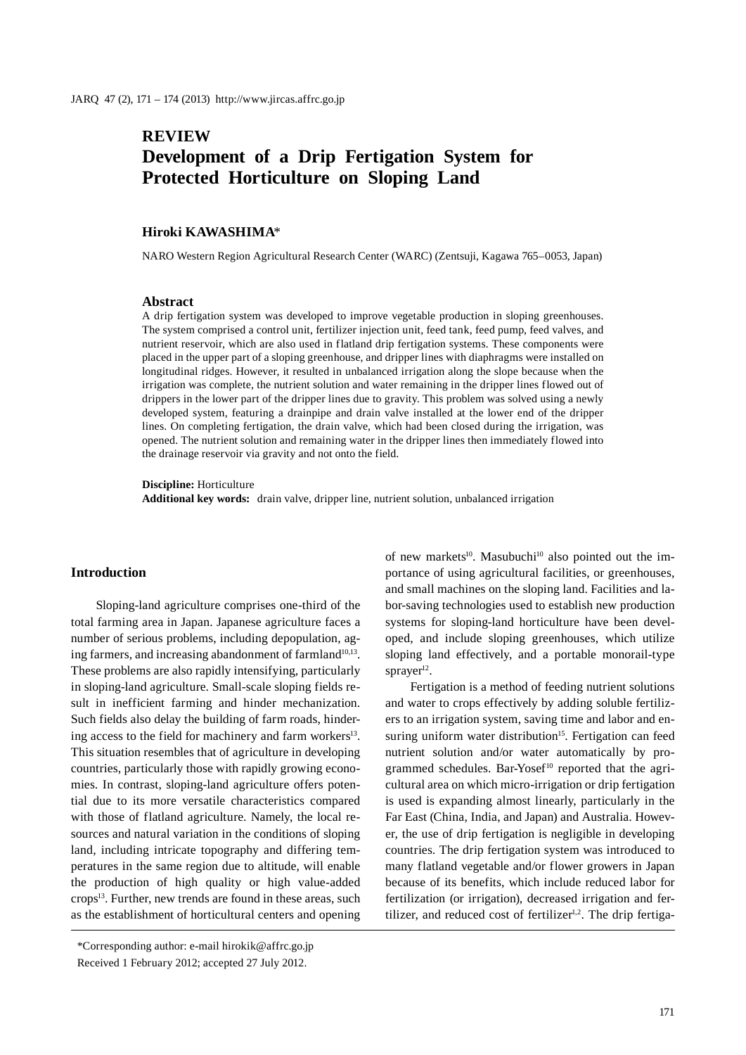# **REVIEW Development of a Drip Fertigation System for Protected Horticulture on Sloping Land**

### **Hiroki KAWASHIMA**\*

NARO Western Region Agricultural Research Center (WARC) (Zentsuji, Kagawa 765–0053, Japan)

### **Abstract**

A drip fertigation system was developed to improve vegetable production in sloping greenhouses. The system comprised a control unit, fertilizer injection unit, feed tank, feed pump, feed valves, and nutrient reservoir, which are also used in flatland drip fertigation systems. These components were placed in the upper part of a sloping greenhouse, and dripper lines with diaphragms were installed on longitudinal ridges. However, it resulted in unbalanced irrigation along the slope because when the irrigation was complete, the nutrient solution and water remaining in the dripper lines flowed out of drippers in the lower part of the dripper lines due to gravity. This problem was solved using a newly developed system, featuring a drainpipe and drain valve installed at the lower end of the dripper lines. On completing fertigation, the drain valve, which had been closed during the irrigation, was opened. The nutrient solution and remaining water in the dripper lines then immediately flowed into the drainage reservoir via gravity and not onto the field.

### **Discipline:** Horticulture

**Additional key words:** drain valve, dripper line, nutrient solution, unbalanced irrigation

### **Introduction**

Sloping-land agriculture comprises one-third of the total farming area in Japan. Japanese agriculture faces a number of serious problems, including depopulation, aging farmers, and increasing abandonment of farmland $10,13$ . These problems are also rapidly intensifying, particularly in sloping-land agriculture. Small-scale sloping fields result in inefficient farming and hinder mechanization. Such fields also delay the building of farm roads, hindering access to the field for machinery and farm workers<sup>13</sup>. This situation resembles that of agriculture in developing countries, particularly those with rapidly growing economies. In contrast, sloping-land agriculture offers potential due to its more versatile characteristics compared with those of flatland agriculture. Namely, the local resources and natural variation in the conditions of sloping land, including intricate topography and differing temperatures in the same region due to altitude, will enable the production of high quality or high value-added  $\text{crops}^{13}$ . Further, new trends are found in these areas, such as the establishment of horticultural centers and opening

of new markets<sup>10</sup>. Masubuchi<sup>10</sup> also pointed out the importance of using agricultural facilities, or greenhouses, and small machines on the sloping land. Facilities and labor-saving technologies used to establish new production systems for sloping-land horticulture have been developed, and include sloping greenhouses, which utilize sloping land effectively, and a portable monorail-type sprayer $12$ .

Fertigation is a method of feeding nutrient solutions and water to crops effectively by adding soluble fertilizers to an irrigation system, saving time and labor and ensuring uniform water distribution<sup>15</sup>. Fertigation can feed nutrient solution and/or water automatically by programmed schedules. Bar-Yosef<sup>10</sup> reported that the agricultural area on which micro-irrigation or drip fertigation is used is expanding almost linearly, particularly in the Far East (China, India, and Japan) and Australia. However, the use of drip fertigation is negligible in developing countries. The drip fertigation system was introduced to many flatland vegetable and/or flower growers in Japan because of its benefits, which include reduced labor for fertilization (or irrigation), decreased irrigation and fertilizer, and reduced cost of fertilizer $1,2$ . The drip fertiga-

<sup>\*</sup>Corresponding author: e-mail hirokik@affrc.go.jp Received 1 February 2012; accepted 27 July 2012.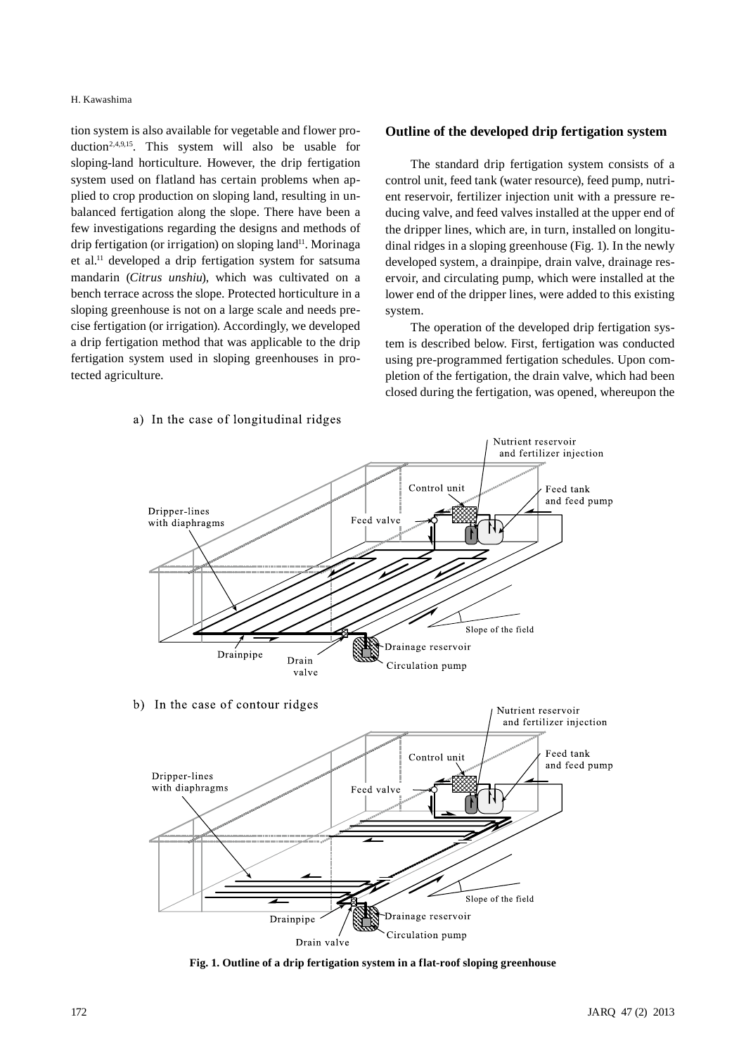#### H. Kawashima

tion system is also available for vegetable and flower production<sup>2,4,9,15</sup>. This system will also be usable for sloping-land horticulture. However, the drip fertigation system used on flatland has certain problems when applied to crop production on sloping land, resulting in unbalanced fertigation along the slope. There have been a few investigations regarding the designs and methods of drip fertigation (or irrigation) on sloping land<sup>11</sup>. Morinaga et al.11 developed a drip fertigation system for satsuma mandarin (*Citrus unshiu*), which was cultivated on a bench terrace across the slope. Protected horticulture in a sloping greenhouse is not on a large scale and needs precise fertigation (or irrigation). Accordingly, we developed a drip fertigation method that was applicable to the drip fertigation system used in sloping greenhouses in protected agriculture.

### a) In the case of longitudinal ridges

### **Outline of the developed drip fertigation system**

The standard drip fertigation system consists of a control unit, feed tank (water resource), feed pump, nutrient reservoir, fertilizer injection unit with a pressure reducing valve, and feed valves installed at the upper end of the dripper lines, which are, in turn, installed on longitudinal ridges in a sloping greenhouse (Fig. 1). In the newly developed system, a drainpipe, drain valve, drainage reservoir, and circulating pump, which were installed at the lower end of the dripper lines, were added to this existing system.

The operation of the developed drip fertigation system is described below. First, fertigation was conducted using pre-programmed fertigation schedules. Upon completion of the fertigation, the drain valve, which had been closed during the fertigation, was opened, whereupon the

Nutrient reservoir



**Fig. 1. Outline of a drip fertigation system in a flat-roof sloping greenhouse**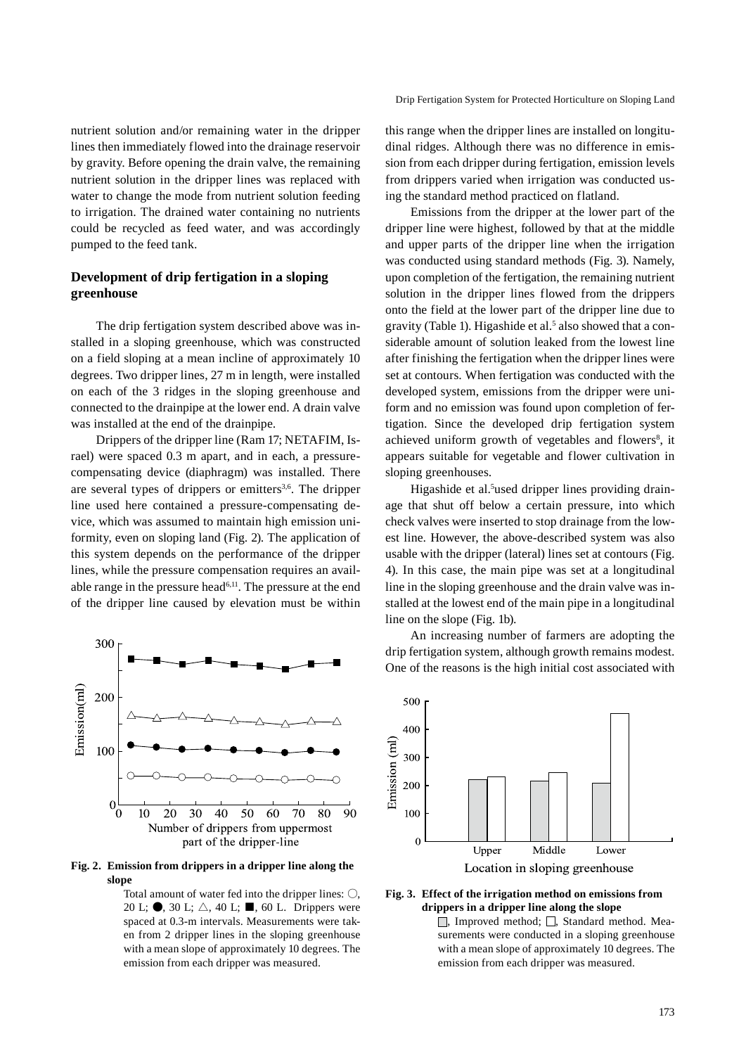nutrient solution and/or remaining water in the dripper lines then immediately flowed into the drainage reservoir by gravity. Before opening the drain valve, the remaining nutrient solution in the dripper lines was replaced with water to change the mode from nutrient solution feeding to irrigation. The drained water containing no nutrients could be recycled as feed water, and was accordingly pumped to the feed tank.

## **Development of drip fertigation in a sloping greenhouse**

The drip fertigation system described above was installed in a sloping greenhouse, which was constructed on a field sloping at a mean incline of approximately 10 degrees. Two dripper lines, 27 m in length, were installed on each of the 3 ridges in the sloping greenhouse and connected to the drainpipe at the lower end. A drain valve was installed at the end of the drainpipe.

Drippers of the dripper line (Ram 17; NETAFIM, Israel) were spaced 0.3 m apart, and in each, a pressurecompensating device (diaphragm) was installed. There are several types of drippers or emitters<sup>3,6</sup>. The dripper line used here contained a pressure-compensating device, which was assumed to maintain high emission uniformity, even on sloping land (Fig. 2). The application of this system depends on the performance of the dripper lines, while the pressure compensation requires an available range in the pressure head<sup> $6,11$ </sup>. The pressure at the end of the dripper line caused by elevation must be within



**Fig. 2. Emission from drippers in a dripper line along the slope**

Total amount of water fed into the dripper lines:  $\bigcirc$ , 20 L;  $\bullet$ , 30 L;  $\triangle$ , 40 L;  $\blacksquare$ , 60 L. Drippers were spaced at 0.3-m intervals. Measurements were taken from 2 dripper lines in the sloping greenhouse with a mean slope of approximately 10 degrees. The emission from each dripper was measured.

this range when the dripper lines are installed on longitudinal ridges. Although there was no difference in emission from each dripper during fertigation, emission levels from drippers varied when irrigation was conducted using the standard method practiced on flatland.

Emissions from the dripper at the lower part of the dripper line were highest, followed by that at the middle and upper parts of the dripper line when the irrigation was conducted using standard methods (Fig. 3). Namely, upon completion of the fertigation, the remaining nutrient solution in the dripper lines flowed from the drippers onto the field at the lower part of the dripper line due to gravity (Table 1). Higashide et al.<sup>5</sup> also showed that a considerable amount of solution leaked from the lowest line after finishing the fertigation when the dripper lines were set at contours. When fertigation was conducted with the developed system, emissions from the dripper were uniform and no emission was found upon completion of fertigation. Since the developed drip fertigation system achieved uniform growth of vegetables and flowers<sup>8</sup>, it appears suitable for vegetable and flower cultivation in sloping greenhouses.

Higashide et al.<sup>5</sup>used dripper lines providing drainage that shut off below a certain pressure, into which check valves were inserted to stop drainage from the lowest line. However, the above-described system was also usable with the dripper (lateral) lines set at contours (Fig. 4). In this case, the main pipe was set at a longitudinal line in the sloping greenhouse and the drain valve was installed at the lowest end of the main pipe in a longitudinal line on the slope (Fig. 1b).

An increasing number of farmers are adopting the drip fertigation system, although growth remains modest. One of the reasons is the high initial cost associated with



#### **Fig. 3. Effect of the irrigation method on emissions from drippers in a dripper line along the slope**

 $\Box$ , Improved method;  $\Box$ , Standard method. Measurements were conducted in a sloping greenhouse with a mean slope of approximately 10 degrees. The emission from each dripper was measured.